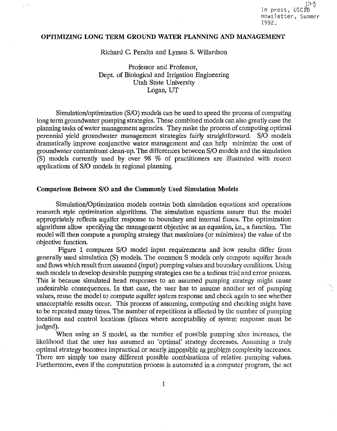';1-() In press, USCID newsletter, Summer 1992.

# OPTIMIZING LONG TERM GROUND WATER PLANNING AND MANAGEMENT

Richard C. Peralta and Lyman S. Willardson

Professor and Professor, Dept. of Biological and Irrigation Engineering Utah State University Logan, UT

Simulation/optimization (S/0) models can be used to speed the process of computing long term groundwater pumping strategies. These combined models can also greatly ease the planning tasks of water management agencies. They make the process of computing optimal perennial yield groundwater management strategies fairly straightforward. S/0 models dramatically improve conjunctive water management and can help minimize the cost of groundwater contaminant clean-up. The differences between S/0 models and the simulation (S) models currently used by over 98 % of practitioners are illustrated with recent applications of S/0 models in regional planning.

#### Comparison Between S/0 and the Commonly Used Simulation Models

Simulation/Optimization models contain both simulation equations and operations research style optimization algorithms. The simulation equations assure that the model appropriately reflects aquifer response to boundary and internal fluxes. The optimization algorithms allow specifying the management objective as an equation, i.e., a function. The model will then compute a pumping strategy that maximizes (or minimizes) the value of the objective function.

Figure 1 compares S/0 model input requirements and how results differ from generally used simulation (S) models. The common S models only compute aquifer heads and flows which result from assumed (input) pumping values and boundary conditions. Using such models to develop desirable pumping strategies can be a tedious trial and error process. This is because simulated head responses to an assumed pumping strategy might cause undesirable consequences. In that case, the user has to assume another set of pumping values, reuse the model to compute aquifer system response and check again to see whether unacceptable results occur. This process of assuming, computing and checking might have to be repeated many times. The number of repetitions is affected by the number of pumping locations and control locations (places where acceptability of system response must be judged).

When using an S model, as the number of possible pumping sites increases, the likelihood that the user has assumed an 'optimal' strategy decreases. Assuming a truly optimal strategy becomes impractical or nearly impossible as problem complexity increases. There are simply too many different possible combinations of relative pumping values. Furthermore, even if the computation process is automated in a computer program, the act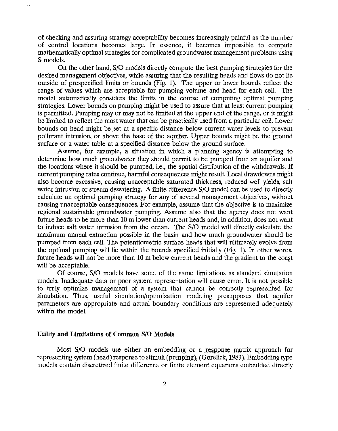of checking and assuring strategy acceptability becomes increasingly painful as the number of control locations becomes large. In essence, it becomes impossible to compute mathematically optimal strategies for complicated groundwater management problems using S models.

On the other hand, S/0 models directly compute the best pumping strategies for the desired management objectives, while assuring that the resulting heads and flows do not lie outside of prespecified limits or bounds (Fig. 1). The upper or lower bounds reflect the range of values which are acceptable for pumping volume and head for each cell. The model automatically considers the limits in the course of computing optimal pumping strategies. Lower bounds on pumping might be used to assure that at least current pumping is permitted. Pumping may or may not be limited at the upper end of the range, or it might be limited to reflect the most water that can be practically used from a particular cell. Lower bounds on head might be set at a specific distance below current water levels to prevent pollutant intrusion, or above the base of the aquifer. Upper bounds might be the ground surface or a water table at a specified distance below the ground surface.

Assume, for example, a situation in which a planning agency is attempting to determine how much groundwater they should permit to be pumped from an aquifer and the locations where it should be pumped, i.e., the spatial distribution of the withdrawals. If current pumping rates continue, harmful consequences might result. Local drawdowns might also become excessive, causing unacceptable saturated thickness, reduced well yields, salt water intrusion or stream dewatering. A finite difference S/O model can be used to directly calculate an optimal pumping strategy for any of several management objectives, without causing unacceptable consequences. For example, assume that the objective is to maximize regional sustainable groundwater pumping. Assume also that the agency does not want future heads to be more than 10 m lower than current heads and, in addition, does not want to induce salt water intrusion from the ocean. The S/0 model will directly calculate the maximum annual extraction possible in the basin and how much groundwater should be pumped from each cell. The potentiometric surface heads that will ultimately evolve from the optimal pumping will lie within the bounds specified initially (Fig. 1). In other words, future heads will not be more than 10 m below current heads and the gradient to the coast will be acceptable.

Of course, S/0 models have some of the same limitations as standard simulation models. Inadequate data or poor system representation will cause error. It is not possible to truly optimize management of a system that cannot be correctly represented for simulation. Thus, useful simulation/optimization modeling presupposes that aquifer parameters are appropriate and actual boundary conditions are represented adequately within the model.

#### **Utility and Limitations of Common S/0 Models**

 $\mathcal{L}^{\mathcal{L}}$ 

Most S/O models use either an embedding or a response matrix approach for representing system (head) response to stimuli (pumping), (Gorelick, 1983). Embedding type models contain discretized finite difference or finite element equations embedded directly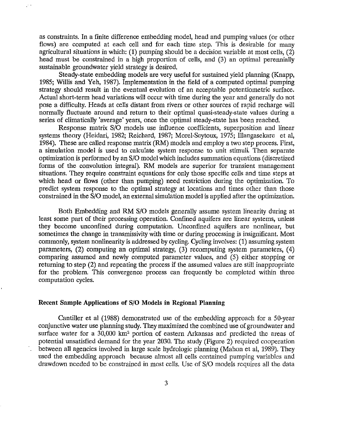as constraints. In a finite difference embedding model, head and pumping values (or other flows) are computed at each cell and for each time step. This is desirable for many agricultural situations in which: **(1)** pumping should be a decision variable at most cells, (2) head must be constrained in a high proportion of cells, and (3) an optimal perennially sustainable groundwater yield strategy is desired.

Steady-state embedding models are very useful for sustained yield planning (Knapp, 1985; Willis and Yeh, 1987). Implementation in the field of a computed optimal pumping strategy should result in the eventual evolution of an acceptable potentiometric surface. Actual short-term head variations will occur with time during the year and generally do not pose a difficulty. Heads at cells distant from rivers or other sources of rapid recharge will normally fluctuate around and return to their optimal quasi-steady-state values during a series of climatically 'average' years, once the optimal steady-state has been reached.

Response matrix S/0 models use influence coefficients, superposition and linear systems theory (Heidari, 1982; Reichard, 1987; Morel-Seytoux, 1975; lllangasekare et a!, 1984). These are called response matrix (RM) models and employ a two step process. First, a simulation model is used to calculate system response to unit stimuli. Then separate optimization is performed by an S/0 model which includes summation equations ( discretized forms of the convolution integral). RM models are superior for transient management situations. They require constraint equations for only those specific cells and time steps at which head or flows (other than pumping) need restriction during the optimization. To predict system response to the optimal strategy at locations and times other than those constrained in the S/0 model, an external simulation model is applied after the optimization.

Both Embedding and RM S/0 models generally assume system linearity during at least some part of their processing operation. Confined aquifers are linear systems, unless they become unconfined during computation. Unconfined aquifers are nonlinear, but sometimes the change in transmissivity with time or during processing is insignificant. Most commonly, system nonlinearity is addressed by cycling. Cycling involves: (1) assuming system parameters, (2) computing an optimal strategy, (3) recomputing system parameters, ( 4) comparing assumed and newly computed parameter values, and (5) either stopping or returning to step (2) and repeating the process if the assumed values are still inappropriate for the problem. This convergence process can frequently be completed within three computation cycles.

#### **Recent Sample Applications of S/0 Models in Regional Planning**

Cantiller et al (1988) demonstrated use of the embedding approach for a 50-year conjunctive water use planning study. They maximized the combined use of groundwater and surface water for a 30,000 km<sup>2</sup> portion of eastern Arkansas and predicted the areas of potential unsatisfied demand for the year 2030. The study (Figure 2) required cooperation between all agencies involved in large scale hydrologic planning (Mahon et a!, 1989). They used the embedding approach because almost all cells contained pumping variables and drawdown needed to be constrained in most cells. Use of S/0 models requires all the data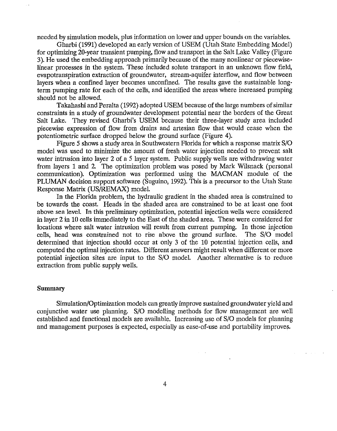needed by simulation models, plus information on lower and upper bounds on the variables.

Gharbi (1991) developed an early version of USEM (Utah State Embedding Model) for optimizing 20-year transient pumping, flow and transport in the Salt Lake Valley (Figure 3). He used the embedding approach primarily because of the many nonlinear or piecewiselinear processes in the system. These included solute transport in an unknown flow field, evapotranspiration extraction of groundwater, stream-aquifer interflow, and flow between layers when a confined layer becomes unconfined. The results gave the sustainable longterm pumping rate for each of the cells, and identified the areas where increased pumping should not be allowed.

Takahashi and Peralta (1992) adopted USEM because of the large numbers of similar constraints in a study of groundwater development potential near the borders of the Great Salt Lake. They revised Gharbi's USEM because their three-layer study area included piecewise expression of flow from drains and artesian flow that would cease when the potentiometric surface dropped below the ground surface (Figure 4).

Figure *5* shows a study area in Southwestern Florida for which a response matrix S/0 model was used to minimize the amount of fresh water injection needed to prevent salt water intrusion into layer 2 of a 5 layer system. Public supply wells are withdrawing water from layers 1 and 2 The optimization problem was posed by Mark Wilsnack (personal communication). Optimization was performed using the MACMAN module of the PLUMAN decision support software (Suguino, 1992). This is a precursor to the Utah State Response Matrix (US/REMAX) model.

In the Florida problem, the hydraulic gradient in the shaded area is constrained to be towards the coast. Heads in the shaded area are constrained to be at least one foot above sea level. In this preliminary optimization, potential injection wells were considered in layer 2 in 10 cells immediately to the East of the shaded area. These were considered for locations where salt water intrusion will result from current pumping. In those injection cells, head was constrained not to rise above the ground surface. The S/0 model determined that injection should occur at only 3 of the 10 potential injection cells, and computed the optimal injection rates. Different answers might result when different or more potential injection sites are input to the S/0 model. Another alternative is to reduce extraction from public supply wells.

#### **Summary**

Simulation/Optimization models can greatly improve sustained groundwater yield and conjunctive water use planning. S/0 modelling methods for flow management are well established and functional models are available. Increasing use of S/0 models for planning and management purposes is expected, especially as ease-of-use and portability improves.

 $\mathcal{L}^{\text{max}}(\mathcal{L})$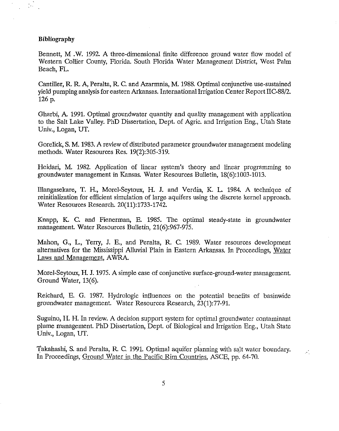#### **Bibliography**

 $\mathbb{Z}^{1,1}$ 

Bennett, M .W. 1992. A three-dimensional finite difference ground water flow model of Western Collier County, Florida. South Florida Water Management District, West Palm Beach, FL.

Cantiller, R. R. A, Peralta, R. C. and Azarmnia, M. 1988. Optimal conjunctive use-sustained yield pumping analysis for eastern Arkansas. International Irrigation Center Report IIC-88/2. 126 p.

Gharbi, A 1991. Optimal groundwater quantity and quality management with application to the Salt Lake Valley. PhD Dissertation, Dept. of Agric. and Irrigation Eng., Utah State Univ., Logan, UT.

Gorelick, S. M. 1983. A review of distributed parameter groundwater management modeling methods. Water Resources Res. 19(2):305-319.

Heidari, M. 1982. Application of linear system's theory and linear programming to groundwater management in Kansas. Water Resources Bulletin, 18(6):1003-1013.

Illangasekare, T. H., Morel-Seytoux, H. **J.** and Verdin, K L. 1984. A technique of reinitialization for efficient simulation of large aquifers using the discrete kernel approach. Water Resources Research. 20(11):1733-1742.

Knapp, K. C. and Fienerman, E. 1985. The optimal steady-state in groundwater management. Water Resources Bulletin, 21(6):967-975.

Mahon, G., L., Terry, J. E., and Peralta, R. C. 1989. Water resources development alternatives for the Mississippi Alluvial Plain in Eastern Arkansas. In Proceedings, Water Laws and Management, AWRA.

Morel-Seytoux, H. J. 1975. A simple case of conjunctive surface-ground-water management. Ground Water, 13(6).

Reichard, E. G. 1987. Hydrologic influences on the potential benefits of basinwide groundwater management. Water Resources Research, 23(1):77-91.

Suguino, **H.** H. In review. A decision support system for optimal groundwater contaminant plume management. PhD Dissertation, Dept. of Biological and Irrigation Eng., Utah State Univ., Logan, UT.

Takahashi, S. and Peralta, R. C. 1991. Optimal aquifer planning with sa)t water boundary. In Proceedings, Ground Water in the Pacific Rim Countries, ASCE, pp. 64-70.

 $\mathcal{L}_\mathrm{L}$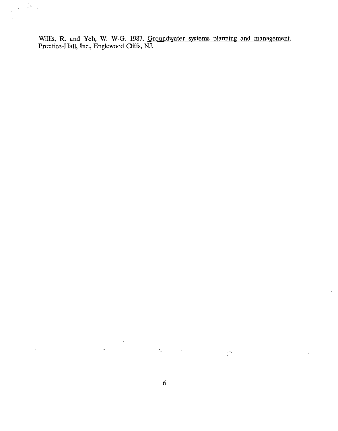Willis, R. and Yeh, W. W-G. 1987. Groundwater systems planning and management. Prentice-Hall, Inc., Englewood Cliffs, NJ.

 $\bar{z}$ 

 $\sim$   $\sim$ 

 $\mathbb{D}_{\mathcal{O}_{\mathcal{A}}}$ 

 $\label{eq:2.1} \mathfrak{L}(\mathbb{R}^d) = \mathfrak{L}(\mathbb{R}^d) \otimes \mathbb{R}^{d \times d}$ 

 $\sum_{i=1}^{N} \frac{1}{i} \sum_{j=1}^{N} \frac{1}{j} \sum_{j=1}^{N} \frac{1}{j} \sum_{j=1}^{N} \frac{1}{j} \sum_{j=1}^{N} \frac{1}{j} \sum_{j=1}^{N} \frac{1}{j} \sum_{j=1}^{N} \frac{1}{j} \sum_{j=1}^{N} \frac{1}{j} \sum_{j=1}^{N} \frac{1}{j} \sum_{j=1}^{N} \frac{1}{j} \sum_{j=1}^{N} \frac{1}{j} \sum_{j=1}^{N} \frac{1}{j} \sum_{j=1}^{N} \frac{1}{j$ 

 $\bar{\gamma}$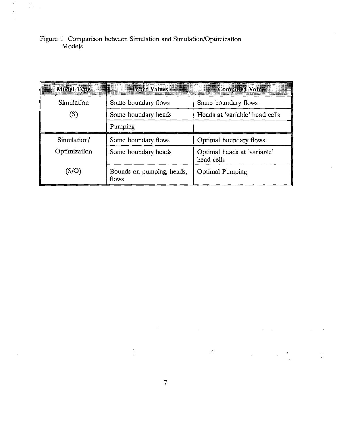Figure 1 Comparison between Simulation and Simulation/Optimization Models

 $\mathcal{L}_{\mathcal{A}}$  $\mathbb{R}^2$ 

| Model Type   | <b>Input Values</b>                        | <b>Computed Values</b>                    |  |
|--------------|--------------------------------------------|-------------------------------------------|--|
| Simulation   | Some boundary flows<br>Some boundary flows |                                           |  |
| (S)          | Some boundary heads                        | Heads at 'variable' head cells            |  |
|              | Pumping                                    |                                           |  |
| Simulation/  | Some boundary flows                        | Optimal boundary flows                    |  |
| Optimization | Some boundary heads                        | Optimal heads at 'variable'<br>head cells |  |
| (S/O         | Bounds on pumping, heads,<br>flows         | <b>Optimal Pumping</b>                    |  |

 $\mathcal{A}^1$ 

 $\hat{\boldsymbol{\cdot} }$ 

 $\mathbb{R}^2$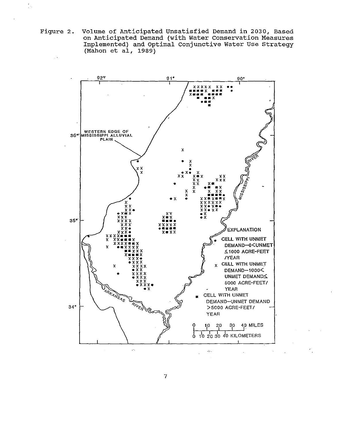Volume of Anticipated Unsatisfied Demand in 2030, Based<br>on Anticipated Demand (with Water Conservation Measures<br>Implemented) and Optimal Conjunctive Water Use Strategy Figure 2. (Mahon et al,  $1989)$ 

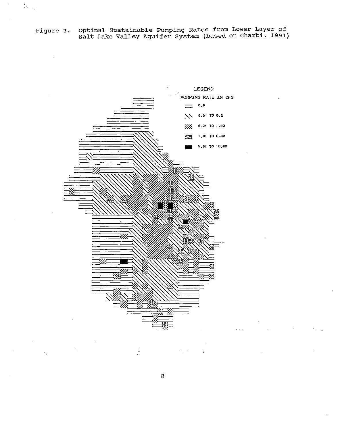Figure 3. Optimal Sustainable Pumping Rates from Lower Layer of Salt Lake Valley Aquifer system (based on Gharbi, 1991)

.·.



8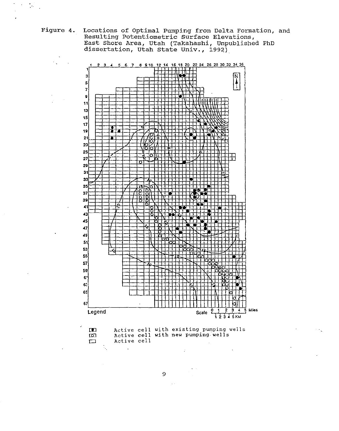Figure 4. Locations of Optimal Pumping from Delta Formation, and Resulting Potentiometric Surface Elevations,<br>Resulting Potentiometric Surface Elevations,<br>East Shore Area, Utah (Takahashi, Unpublished PhD<br>dissertation, Utah State Univ., 1992)



 $\mathcal{P}_t$ 

9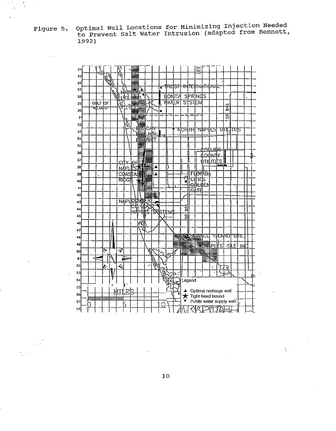Figure 5. Optimal Well Locations for Minimizing Injection Needed<br>to Prevent Salt Water Intrusion (adapted from Bennett, 1992)

 $\frac{1}{2}$ 

 $\mathbb{R}^2$ 



 $10$ 

 $\mathbb{Z}_+$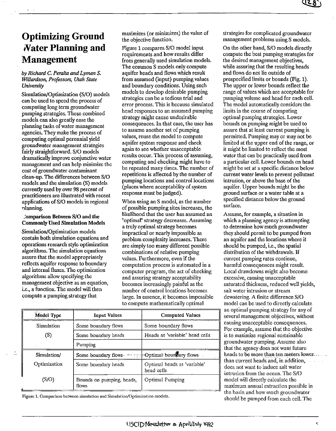# Optimizing Ground .Vater Planning and Management

*by Richard* C. *Peralta and Lyman S. Willardson, Professors, Utah State University* 

Simulation/Optimization (S/0) models can be used to speed the process of computing long term groundwater pumping strategies. These combined models can also greatly ease the planning tasks of water management agencies. They make the process of computing optimal perennial yield groundwater management strategies fairly straightforward. S/0 models dramatically improve conjunctive water management and can help minimize the cost of groundwater contaminant clean-up. The differences between S/0 models and the simulation (S) models currently used by over 98 percent of practitioners are illustrated with recent applications of S/0 models in regional TJlanning.

#### ~omparison Between S/0 and the Commonly Used Simulation Models

Simulation/Optimization models contain both simulation equations and operations research style optimization algorithms. The simulation equations assure that the model appropriately reflects aquifer response to boundary and internal fluxes. The optimization algorithms allow specifying the management objective as an equation, i.e., a function. The model will then compute a pumping strategy that

maximizes (or minimizes) the value of the objective function.

Figure 1 compares S/0 model input requirements and how results differ from generally used simulation models. The common S models only compute aquifer heads and flows which result from assumed (input) pumping values and boundary conditions. Using such models to develop desirable pumping strategies can be a tedious trial and error process. This is because simulated head responses to an assumed pumping strategy might cause undesirable consequences. In that case, the user has to assume another set of pumping values, reuse the model to compute aquifer system response and check again to see whether unacceptable results occur. This process of assuming, computing and checking might have to be repeated many times. The number of repetitions is affected by the number of pumping locations and control locations (places where acceptability of system response must be judged).

When using an S model, as the number of possible pumping sites increases, the likelihood that the user has assumed an "optimal" strategy decreases. Assuming a truly optimal strategy becomes impractical or nearly impossible as problem complexity increases. There are simply too many different possible combinations of relative pumping values. Furthermore, even if the computation process is automated in a computer program, the act of checking and assuring strategy acceptability becomes increasingly painful as the number of control locations becomes large. In essence, it becomes impossible to compute mathematically optimal

| <b>Model Type</b> | <b>Input Values</b>                                | <b>Computed Values</b>                    |  |
|-------------------|----------------------------------------------------|-------------------------------------------|--|
| Simulation        | Some boundary flows                                | Some boundary flows                       |  |
| (S)               | Some boundary heads                                | Heads at 'variable' head cells            |  |
|                   | Pumping                                            |                                           |  |
| Simulation/       | Some boundary flows in the popular boundary flows. |                                           |  |
| Optimization      | Some boundary heads                                | Optimal heads at 'variable'<br>head cells |  |
| (S/O)             | Bounds on pumping, heads,<br>flows                 | Optimal Pumping                           |  |

Figure 1. Comparison between simulation and Simulation/Optimization models.

strategies for complicated groundwater management problems using S models.

On the other hand, S/0 models directly compute the best pumping strategies for the desired management objectives, while assuring that the resulting heads and flows do not lie outside of prespecified limits or bounds (Fig. 1). The upper or lower bounds reflect the range of values which are acceptable for pumping volume and head for each cell. The model automatically considers the limits in the course of computing optimal pumping strategies. Lower bounds on pumping might be used to assure that at least current pumping is permitted. Pumping may or may not be limited at the upper end of the range, or it might be limited to reflect the most water that can be practically used from a particular cell. Lower bounds on head might be set at a specific distance below current water levels to prevent pollutant intrusion, or above the base of the aquifer. Upper bounds might be the ground surface or a water table at a specified distance below the ground surface.

Assume, for example, a situation in which a planning agency is attempting to determine how much groundwater they should permit to be pumped from an aquifer and the locations where it should be pumped, i.e., the spatial distribution of the withdrawals. If current pumping rates continue, harmful consequences might result. Local drawdowns might also become excessive, causing unacceptable saturated thickness, reduced well yields, salt water intrusion or stream dewatering. A finite difference S/0 model can be used to directly calculate an optimal pumping strategy for any of several management objectives, without causing unacceptable consequences. For example, assume that the objective is to maximize regional sustainable groundwater pumping. Assume also that the agency does not want future heads to be more than ten meters lower...... than current heads and, in addition, does not want to induce salt water intrusion from the ocean. The S/0 model will directly calculate the maximum annual extraction possible in the basin and how much groundwater should be pumped from each cell. The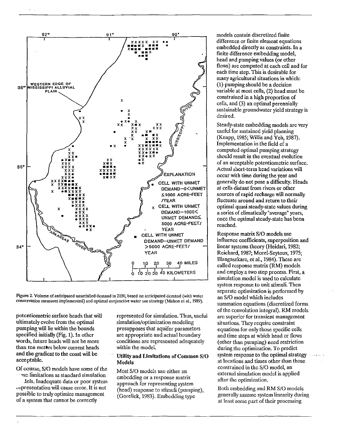

Figure 2. Volume of anticipated unsatisfied demand in 2030, based on anticipated demand (with water conservation measures implemented) and optimal conjunctive water use strategy (Mahon et al., 1989).

potentiometric surface heads that will ultimately evolve from the optimal pumping will lie within the bounds specified initially (Fig. 1). In other words, future heads will not be more than ten meters below current heads and the gradient to the coast will be acceptable.

Of course, S/O models have some of the me limitations as standard simulation

dels. Inadequate data or poor system representation will cause error. It is not possible to truly optimize management of a system that cannot be correctly

represented for simulation. Thus, useful simulation/optimization modeling presupposes that aquifer parameters are appropriate and actual boundary conditions are represented adequately within the model.

#### **Utility and Limitations of Common S/O Models**

Most S/O models use either an embedding or a response matrix approach for representing system (head) response to stimuli (pumping), (Gorelick, 1983). Embedding type

models contain discretized finite difference or finite element equations embedded directly as constraints. In a finite difference embedding model, head and pumping values (or other flows) are computed at each cell and for each time step. This is desirable for many agricultural situations in which: (1) pumping should be a decision variable at most cells, (2) head must be constrained in a high proportion of cells, and (3) an optimal perennially sustainable groundwater yield strategy is desired.

Steady-state embedding models are very useful for sustained yield planning (Knapp, 1985; Willis and Yeh, 1987). Implementation in the field of a computed optimal pumping strategy should result in the eventual evolution of an acceptable potentiometric surface. Actual short-term head variations will occur with time during the year and generally do not pose a difficulty. Heads at cells distant from rivers or other sources of rapid recharge will normally fluctuate around and return to their optimal quasi steady-state values during a series of climatically "average" years, once the optimal steady-state has been reached.

Response matrix S/O models use influence coefficients, superposition and linear systems theory (Heidari, 1982; Reichard, 1987; Morel-Seytoux, 1975; Illangasekare, et al., 1984). These are called response matrix (RM) models and employ a two step process. First, a simulation model is used to calculate system response to unit stimuli. Then separate optimization is performed by an S/O model which includes summation equations (discretized forms of the convolution integral). RM models are superior for transient management situations. They require constraint equations for only those specific cells and time steps at which head or flows (other than pumping) need restriction during the optimization. To predict system response to the optimal strategy strategy at locations and times other than those constrained in the S/O model, an external simulation model is applied after the optimization.

Both embedding and RM S/O models generally assume system linearity during at least some part of their processing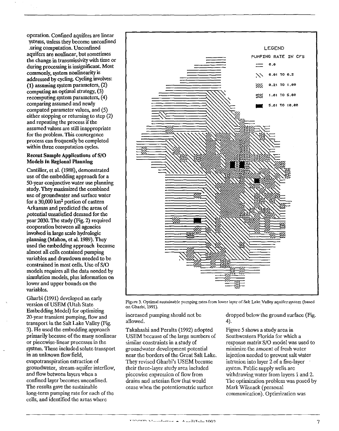operation. Confmed aquifers are linear

ystems, unless they become unconfmed .uring computation. Unconfmed aquifers are nonlinear, but sometimes the change in transmissivity with time or during processing is insignificant. Most commonly, system nonlinearity is addressed by cycling. Cycling involves: (1) assuming system parameters, (2) computing an optimal strategy, (3) recomputing system parameters,  $(4)$ comparing assumed and newly computed parameter values, and (5) either stopping or returning to step (2) and repeating the process if the assumed values are still inappropriate for the problem. This convergence process can frequently be completed within three computation cycles.

#### Recent Sample Applications of S/0 Models in Regional Planning

Cantiller, et al. (1988), demonstrated use of the embedding approach for a 50-year conjunctive water use planning study. They maximized the combined nse of groundwater and surface water for a  $30,000$  km<sup>2</sup> portion of eastern Arkansas and predicted the areas of potential unsatisfied demand for the year 2030. The study (Fig. 2) required cooperation between all agencies involved in large scale hydrologic planning (Mahon, et al. 1989). They used the embedding approach because almost all cells contained pumping variables and drawdown needed to be constrained in most cells. Use of S/0 models requires all the data needed by simulation models, plus information on lower and upper bounds on the variables.

Gharbi (1991) developed an early version of USEM (Utah State Embedding Model) for optimizing 20-year transient pumping, flow and transport in the Salt Lake Valley (Fig. 3). He used the embedding approach primarily because of the many nonlinear or piecewise-linear processes in the system. These included solute transport in an unknown flow field, evapotranspiration extraction of groundwater, stream-aquifer interflow, and flow between layers when a confined layer becomes unconfined. The results gave the sustainable long-term pumping rate for each of the cells, and identified the areas where



Figure 3. Optimal sustainable pumping rates from lower layer of Salt Lake\_Yalley aquifer system (based on Gharbi, 1991).

increased pumping should not be allowed.

Takahashi and Peralta (1992) adopted USEM because of tbe large numbers of similar constraints in a study of groundwater development potential near the borders of the Great Salt Lake. They revised Gharbi's USEM because their three-layer study area included piecewise expression of flow from drains and artesian flow that would cease when the potentiometric surface

dropped below the ground surface (Fig. 4).

Figure 5 shows a study area in Southwestern Florida for which a response matrix S/0 model was used to minimize the amount of fresh water injection needed to prevent salt water intrusion into layer 2 of a five-layer system. Public supply wells are withdrawing water from layers 1 and 2. The optimization problem was posed by Mark Wilsnack (personal communication). Optimization was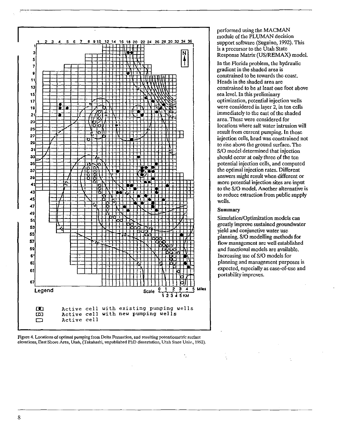

**Figure 4. Locations of optimal pumping from Delta Fonnation, and resulting potentiometric surface elevations, East Shore Area, Utah, (Takahashi, unpublished PhD dissertation, Utah State Univ., 1992).** 

performed using the MACMAN module of the PLUMAN decision support software (Suguino, 1992). This is a precursor to the Utah State Response Matrix (US/REMAX) model.

In the Florida problem, the hydraulic gradient in the shaded area is constrained to be towards the coast. Heads in the shaded area are constrained to be at least one foot above sea level. In this preliminary optimization, potential injection wells were considered in layer 2, in ten cells immediately to the east of the shaded area. These were considered for locations where salt water intrusion will result from current pumping. In those injection cells, head was constrained not to rise above the ground surface. The S/0 model determined that injection should occur at only three of the ten potential injection cells, and computed the optimal injection rates. Different answers might result when different or more potential injection sites are input to the S/0 model. Another alternative is to reduce extraction from public supply wells.

#### **Summary**

Simulation/Optimization models can greatly improve sustained groundwater yield and conjunctive water use planning. S/0 modelling methods for flow management are well established and functional models are available. Increasing use of S/0 models for planning and management purposes is expected, especially as ease-of-use and portability improves.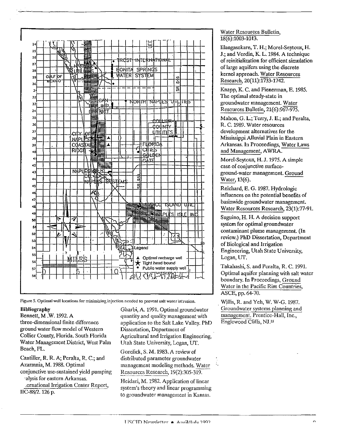

Figure 5. Optimal well locations for minimizing injection needed to prevent salt water intrusion.

#### **Bibliography**

Bennett, M.W. 1992. A three-dimensional finite difference ground water flow model of Western Collier County, Florida. South Florida Water Management District, West Palm Beach, FL.

Cantiller, R. R. A; Peralta, R. C.; and Azarmnia, M. 1988. Optimal conjunctive use-sustained yield pumping alysis for eastern Arkansas. ernational Irrigation Center Report,

IIC-88/2. 126 p.

Gharbi, A. 1991. Optimal groundwater quantity and quality management with application to the Salt Lake Valley, PhD Dissertation, Department of Agricultural and Irrigation Engineering, Utah State University, Logan, UT.

Gorelick, S. M. 1983. A review of distributed parameter groundwater management modeling methods. Water Resources Research, 19(2):305-319.

Heidari, M. 1982. Application of linear system's theory and linear programming to groundwater management in Kansas.

#### Water Resources Bulletin.  $18(6):1003-1013.$

Illangasekare, T. H.; Morel-Seytoux, H. J.; and Verdin, K. L. 1984. A technique of reinitialization for efficient simulation of large aquifers using the discrete kernel approach. Water Resources Research, 20(11):1733-1742.

Knapp, K. C. and Fienerman, E. 1985. The optimal steady-state in groundwater management. Water Resources Bulletin, 21(6):967-975.

Mahon, G. L.; Terry, J. E.; and Peralta, R. C. 1989. Water resources development alternatives for the Mississippi Alluvial Plain in Eastern Arkansas. In Proceedings, Water Laws and Management, AWRA.

Morel-Seytoux, H. J. 1975. A simple case of conjunctive surfaceground-water management. Ground Water, 13(6).

Reichard, E. G. 1987. Hydrologic influences on the potential benefits of basinwide groundwater management. Water Resources Research, 23(1):77-91.

Suguino, H. H. A decision support system for optimal groundwater contaminant plume management. (In review.) PhD Dissertation, Department of Biological and Irrigation Engineering, Utah State University, Logan, UT.

Takahashi, S. and Peralta, R. C. 1991. Optimal aquifer planning with salt water boundary. In Proceedings, Ground Water in the Pacific Rim Countries, ASCE, pp. 64-70.

Willis, R. and Yeh, W. W-G. 1987. Groundwater systems planning and management. Prentice-Hall, Inc., Englewood Cliffs, NJ.¤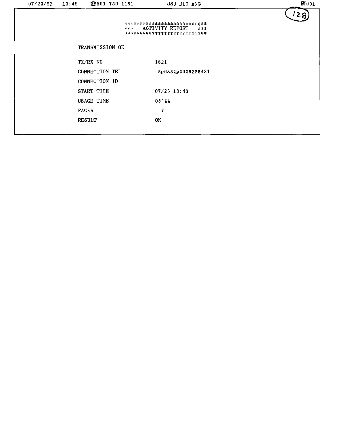| 07/23/92 | 13:49         | 2801 750 1181   | USU BIO ENG                                                                             | 团001 |
|----------|---------------|-----------------|-----------------------------------------------------------------------------------------|------|
|          |               | ***             | ***************************<br>ACTIVITY REPORT<br>$+3.3$<br>*************************** | 5 2  |
|          |               | TRANSMISSION OK |                                                                                         |      |
|          | TX/RX NO.     |                 | 1621                                                                                    |      |
|          |               | CONNECTION TEL  | 5p9354p3036285431                                                                       |      |
|          |               | CONNECTION ID   |                                                                                         |      |
|          | START TIME    |                 | $07/23$ 13:43                                                                           |      |
|          | USAGE TIME    |                 | 05 44                                                                                   |      |
|          | <b>PAGES</b>  |                 | 7                                                                                       |      |
|          | <b>RESULT</b> |                 | OK                                                                                      |      |
|          |               |                 |                                                                                         |      |

 $\label{eq:2.1} \frac{1}{\sqrt{2}}\left(\frac{1}{\sqrt{2}}\right)^{2} \left(\frac{1}{\sqrt{2}}\right)^{2} \left(\frac{1}{\sqrt{2}}\right)^{2} \left(\frac{1}{\sqrt{2}}\right)^{2} \left(\frac{1}{\sqrt{2}}\right)^{2} \left(\frac{1}{\sqrt{2}}\right)^{2} \left(\frac{1}{\sqrt{2}}\right)^{2} \left(\frac{1}{\sqrt{2}}\right)^{2} \left(\frac{1}{\sqrt{2}}\right)^{2} \left(\frac{1}{\sqrt{2}}\right)^{2} \left(\frac{1}{\sqrt{2}}\right)^{2} \left(\$ 

 $\mathcal{L}(\mathcal{L}^{\mathcal{L}})$  and  $\mathcal{L}(\mathcal{L}^{\mathcal{L}})$  and  $\mathcal{L}(\mathcal{L}^{\mathcal{L}})$  and  $\mathcal{L}(\mathcal{L}^{\mathcal{L}})$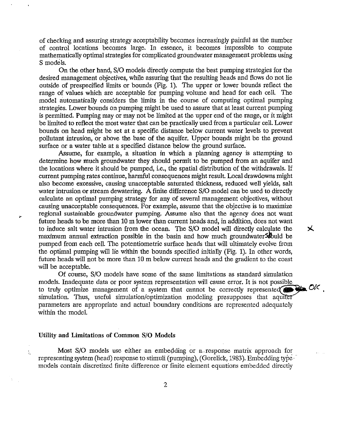of checking and assuring strategy acceptability becomes increasingly painful as the number of control locations becomes large. In essence, it becomes impossible to compute mathematically optimal strategies for complicated groundwater management problems using S models.

On the other hand, S/0 models directly compute the best pumping strategies for the desired management objectives, while assuring that the resulting heads and flows do not lie outside of prespecified limits or bounds (Fig. 1). The upper or lower bounds reflect the range of values which are acceptable for pumping volume and head for each cell. The model automatically considers the limits in the course of computing optimal pumping strategies. Lower bounds on pumping might be used to assure that at least current pumping is permitted. Pumping may or may not be limited at the upper end of the range, or it might be limited to reflect the most water that can be practically used from a particular cell. Lower bounds on head might be set at a specific distance below current water levels to prevent pollutant intrusion, or above the base of the aquifer. Upper bounds might be the ground surface or a water table at a specified distance below the ground surface.

Assume, for example, a situation in which a planning agency is attempting to determine how much groundwater they should permit to be pumped from an aquifer and the locations where it should be pumped, i.e., the spatial distribution of the withdrawals. If current pumping rates continue, harmful consequences might result. Local drawdowns might also become excessive, causing unacceptable saturated thickness, reduced well yields, salt water intrusion or stream dewatering. A finite difference  $S/O$  model can be used to directly calculate an optimal pumping strategy for any of several management objectives, without causing unacceptable consequences. For example, assume that the objective is to maximize regional sustainable groundwater pumping. Assume also that the agency does not want future heads to be more than 10 m lower than current heads and, in addition, does not want to induce salt water intrusion from the ocean. The S/O model will directly calculate the  $\mathsf{\times}$ maximum annual extraction possible in the basin and how much groundwater  $\mathcal{S}$  build be pumped from each cell. The potentiometric surface heads that will ultimately evolve from the optimal pumping will lie within the bounds specified initially (Fig. 1). In other words, future heads will not be more than 10 m below current heads and the gradient to the coast will be acceptable.

Of course, S/0 models have some of the same limitations as standard simulation models. Inadequate data or poor system representation will cause error. It is not possible to truly optimize management of a system that cannot be correctly represented  $\bigcirc$   $\bigcirc$   $\bigcirc$   $\bigcirc$   $\bigcirc$   $\bigcirc$   $\bigcirc$   $\bigcirc$   $\bigcirc$   $\bigcirc$   $\bigcirc$   $\bigcirc$   $\bigcirc$   $\bigcirc$   $\bigcirc$   $\bigcirc$   $\bigcirc$   $\bigcirc$   $\bigcirc$   $\bigcirc$   $\bigcirc$   $\bigcirc$   $\bigcirc$   $\bigcirc$ parameters are appropriate and actual boundary conditions are represented adequately within the model.

#### Utility and Limitations of Common S/0 Models

Ď,

Most S/O models use either an embedding or a response matrix approach for representing system (head) response to stimuli (pumping), (Gorelick, 1983). Embedding type models contain discretized finite difference or finite element equations embedded directly

2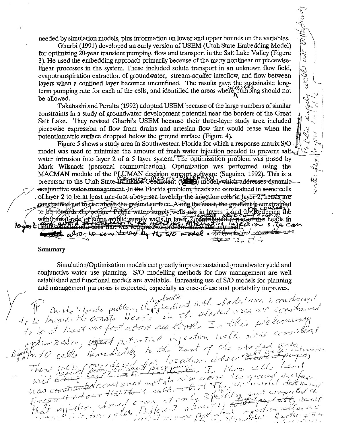needed by simulation models, plus information on lower and upper bounds on the variables.

 $257\%$ 

ستان کمپا

 $22222$ 

worten flagger fire of the 1

Gharbi (1991) developed an early version of USEM (Utah State Embedding Model) for optimizing 20-year transient pumping, flow and transport in the Salt Lake Valley (Figure 3). He used the embedding approach primarily because of the many nonlinear or piecewiselinear processes in the system. These included solute transport in an unknown flow field, evapotranspiration extraction of groundwater, stream-aquifer interflow, and flow between layers when a confined layer becomes unconfined. The results gave the systainable longterm pumping rate for each of the cells, and identified the areas where pumping should not be allowed.

Takahashi and Peralta (1992) adopted USEM because of the large numbers of similar constraints in a study of groundwater development potential near the borders of the Great Salt Lake. They revised Gharbi's USEM because their three-layer study area included piecewise expression of flow from drains and artesian flow that would cease when the potentiometric surface dropped below the ground surface (Figure 4).

Figure 5 shows a study area in Southwestern Florida for which a response matrix S/0 , model was used to minimize the amount of fresh water injection needed to prevent salt. water intrusion into layer 2 of a 5 layer system. The optimization problem was posed by Mark Wilsnack (personal communication). Optimization was performed using the MACMAN module of the PLUMAN degision support seftware (Suguino, 1992). This is a precursor to the Utah State minished Coefficient (Compared which addresses dynamic-Free water management. In the Florida problem, heads are constrained in some cells<br>
of layer 2 to be at least one foot above sea level. In the injection cells in layer 2, heads are<br>
constrained not to rise above the ground  $\mathcal{F}$   $\mathcal{F}$   $\mathcal{F}$   $\mathcal{F}$   $\mathcal{F}$   $\mathcal{F}$   $\mathcal{F}$   $\mathcal{F}$   $\mathcal{F}$   $\mathcal{F}$   $\mathcal{F}$   $\mathcal{F}$   $\mathcal{F}$   $\mathcal{F}$   $\mathcal{F}$   $\mathcal{F}$   $\mathcal{F}$   $\mathcal{F}$   $\mathcal{F}$   $\mathcal{F}$   $\mathcal{F}$   $\mathcal{F}$   $\mathcal{F}$   $\mathcal{F}$   $\mathcal{$ 

#### **Summary**

Simulation/Optimization models can greatly improve sustained groundwater yield and conjunctive water use planning. S/O modelling methods for flow management are well established and functional models are available. Increasing use of S/O models for planning and management purposes is expected, especially as ease-of-use and portability improves.

and management purposes is expected, especially as ease-of-use and portability improves.<br>The built Florida public of the prior of the shocked cases are considered.<br>If the treated the coast of the shocked cases are consider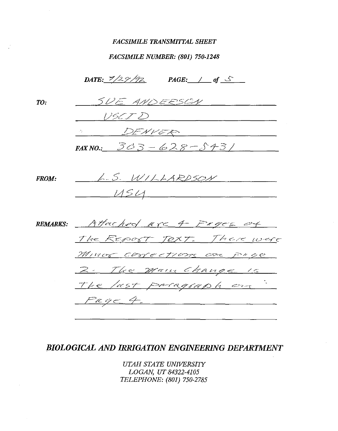## *FACSIMILE TRANSMIITAL SHEET*

# *FACSIMILE NUMBER: (801) 750-1248*

|              | DATE: $\frac{7}{2}\frac{9}{7}$   |
|--------------|----------------------------------|
| TO:          | SUE ANDERSEN                     |
|              | USCID                            |
|              | <u>SENVER COMMUNICATIONS</u>     |
|              | FAX NO.: $303 - 628 - 5431$      |
|              |                                  |
| <b>FROM:</b> | L.S. WILLARDSON                  |
|              | USSU                             |
|              |                                  |
|              | REMARKS: Attached are 4 Proce of |
|              | The REPORT TOXT. There were      |
|              | MINOR COMECTIONS ON PROC         |
|              | 2. The main Change is            |
|              | The last paragraph on            |
|              | Page4.                           |
|              |                                  |

# *BIOLOGICAL AND IRRIGATION ENGINEERING DEPARTMENT*

*UTAH STATE UNIVERSITY LOGAN, UT 84322-4105 TELEPHONE: (801) 750-2785*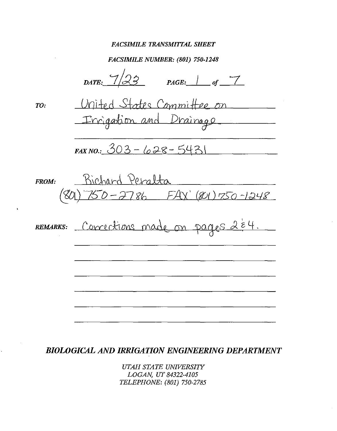#### **FACSIMILE TRANSMITTAL SHEET**

**FACSIMILE NUMBER: (801) 750-1248** 

DATE:  $7/23$  $PAGE:$  of  $\overline{7}$ United States Committee on  $TO:$ Irrigation and Drainage FAX NO.:  $303 - 628 - 5431$ Richard Peralta FROM:  $0 - 2786$   $FAX'(801)750 - 1248$ 8C REMARKS: Corrections made on pages 2 E4.

**BIOLOGICAL AND IRRIGATION ENGINEERING DEPARTMENT** 

UTAH STATE UNIVERSITY LOGAN, UT 84322-4105 TELEPHONE: (801) 750-2785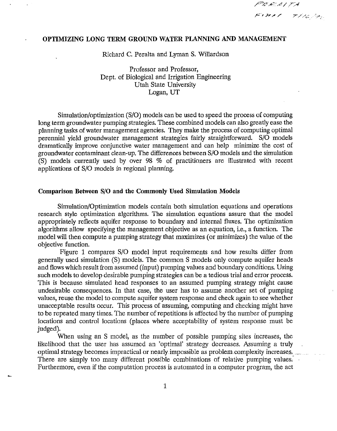$P$ EE  $A$ l TA FINN THERE

# **OPTIMIZING LONG TERM GROUND WATER PLANNING AND MANAGEMENT**

Richard C. Peralta and Lyman S. Willardson

Professor and Professor, Dept. of Biological and Irrigation Engineering Utah State University Logan, UT

Simulation/optimization (S/0) models can be used to speed the process of computing long term groundwater pumping strategies. These combined models can also greatly ease the planning tasks of water management agencies. They make the process of computing optimal perennial yield groundwater management strategies fairly straightforward. S/0 models dramatically improve conjunctive water management and can help minimize the cost of groundwater contaminant clean-up. The differences between S/0 models and the simulation (S) models currently used by over 98 % of practitioners are illustrated with recent applications of S/0 models in regional planning.

## **Comparison Between S/0 and the Commonly Used Simulation Models**

Simulation/Optimization models contain both simulation equations and operations research style optimization algorithms. The simulation equations assure that the model appropriately reflects aquifer response to boundary and internal fluxes. The optimization algorithms allow specifying the management objective as an equation, i.e., a function. The model will then compute a pumping strategy that maximizes (or minimizes) the value of the objective function.

Figure 1 compares S/0 model input requirements and how results differ from generally used simulation (S) models. The common S models only compute aquifer heads and flows which result from assumed (input) pumping values and boundary conditions. Using such models to develop desirable pumping strategies can be a tedious trial and error process. This is because simulated head responses to an assumed pumping strategy might cause undesirable consequences. In that case, the user has to assume another set of pumping values, reuse the model to compute aquifer system response and check again to see whether unacceptable results occur. This process of assuming, computing and checking might have to be repeated many times. The number of repetitions is affected by the number of pumping locations and control locations (places where acceptability of system response must be judged).

When using an S model, as the number of possible pumping sites increases, the likelihood that the user has assumed an 'optimal' strategy decreases. Assuming a truly optimal strategy becomes impractical or nearly impossible as problem complexity increases. There are simply too many different possible combinations of relative pumping values. Furthermore, even if the computation process is automated in a computer program, the act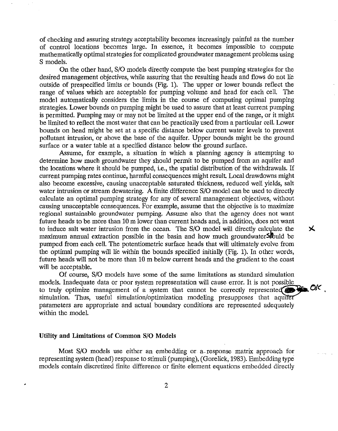of checking and assuring strategy acceptability becomes increasingly painful as the number of control locations becomes large. In essence, it becomes impossible to compute mathematically optimal strategies for complicated groundwater management problems using S models.

On the other hand, S/0 models directly compute the best pumping strategies for the desired management objectives, while assuring that the resulting heads and flows do not lie outside of prespecified limits or bounds (Fig. 1). The upper or lower bounds reflect the range of values which are acceptable for pumping volume and head for each cell. The model automatically considers the limits in the course of computing optimal pumping strategies. Lower bounds on pumping might be used to assure that at least current pumping is permitted. Pumping may or may not be limited at the upper end of the range, or it might be limited to reflect the most water that can be practically used from a particular cell. Lower bounds on head might be set at a specific distance below current water levels to prevent pollutant intrusion, or above the base of the aquifer. Upper bounds might be the ground surface or a water table at a specified distance below the ground surface.

Assume, for example, a situation in which a planning agency is attempting to determine how much groundwater they should permit to be pumped from an aquifer and the locations where it should be pumped, i.e., the spatial distribution of the withdrawals. If current pumping rates continue, harmful consequences might result Local drawdowns might also become excessive, causing unacceptable saturated thickness, reduced well yields, salt water intrusion or stream dewatering. A finite difference S/O model can be used to directly calculate an optimal pumping strategy for any of several management objectives, without causing unacceptable consequences. For example, assume that the objective is to maximize regional sustainable groundwater pumping. Assume also that the agency does not want future heads to be more than 10 m lower than current heads and, in addition, does not want to induce salt water intrusion from the ocean. The S/O model will directly calculate the  $\mathsf{\times}$ maximum annual extraction possible in the basin and how much groundwater Sould be pumped from each cell. The potentiometric surface heads that will ultimately evolve from the optimal pumping will lie within the bounds specified initially (Fig. 1). In other words, future heads will not be more than 10 m below current heads and the gradient to the coast will be acceptable.

Of course, S/0 models have some of the same limitations as standard simulation models. Inadequate data or poor system representation will cause error. It is not possible to truly optimize management of a system that cannot be correctly represente~ **0/(** , simulation. Thus, useful simulation/optimization modeling presupposes that aq~ parameters are appropriate and actual boundary conditions are represented adequately within the model.

#### **Utility and Limitations of Common S/0 Models**

Most S/O models use either an embedding or a response matrix approach for representing system (head) response to stimuli (pumping), (Gorelick, 1983). Embedding type models contain discretized finite difference or finite element equations embedded directly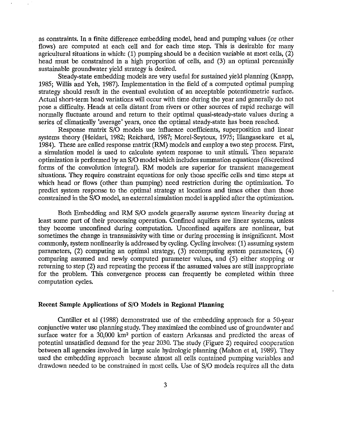as constraints. In a finite difference embedding model, head and pumping values (or other flows) are computed at each cell and for each time step. This is desirable for many agricultural situations in which: (1) pumping should be a decision variable at most cells, (2) head must be constrained in a high proportion of cells, and (3) an optimal perennially sustainable groundwater yield strategy is desired.

Steady-state embedding models are very useful for sustained yield planning (Knapp, 1985; Willis and Yeh, 1987). Implementation in the field of a computed optimal pumping strategy should result in the eventual evolution of an acceptable potentiometric surface. Actual short-term head variations will occur with time during the year and generally do not pose a difficulty. Heads at cells distant from rivers or other sources of rapid recharge will normally fluctuate around and return to their optimal quasi-steady-state values during a series of climatically 'average' years, once the optimal steady-state has been reached.

Response matrix S/0 models use influence coefficients, superposition and linear systems theory (Heidari, 1982; Reichard, 1987; Morel-Seytoux, 1975; Illangasekare et al, 1984). These are called response matrix (RM) models and employ a two step process. First, a simulation model is used to calculate system response to unit stimuli. Then separate optimization is performed by an S/0 model which includes summation equations ( discretized forms of the convolution integral). RM models are superior for transient management situations. They require constraint equations for only those specific cells and time steps at which head or flows (other than pumping) need restriction during the optimization. To predict system response to the optimal strategy at locations and times other than those constrained in the S/0 model, an external simulation model is applied after the optimization.

Both Embedding and RM S/0 models generally assume system linearity during at least some part of their processing operation. Confined aquifers are linear systems, unless they become unconfined during computation. Unconfined aquifers are nonlinear, but sometimes the change in transmissivity with time or during processing is insignificant. Most commonly, system nonlinearity is addressed by cycling. Cycling involves: (1) assuming system parameters, (2) computing an optimal strategy, (3) recomputing system parameters, ( 4) comparing assumed and newly computed parameter values, and (5) either stopping or returning to step (2) and repeating the process if the assumed values are still inappropriate for the problem. This convergence process can frequently be completed within three computation cycles.

#### **Recent Sample Applications of** S/0 **Models in Regional Planning**

Cantiller et al (1988) demonstrated use of the embedding approach for a 50-year conjunctive water use planning study. They maximized the combined use of groundwater and surface water for a 30,000 km2 portion of eastern Arkansas and predicted the areas of potential unsatisfied demand for the year 2030. The study (Figure 2) required cooperation between all agencies involved in large scale hydrologic planning (Mahon et al, 1989). They used the embedding approach because almost all cells contained pumping variables and drawdown needed to be constrained in most cells. Use of S/0 models requires all the data